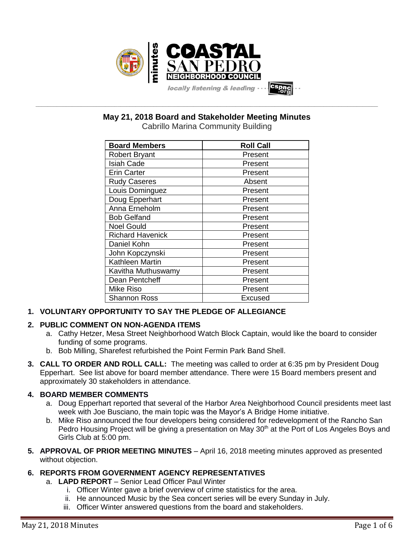

**May 21, 2018 Board and Stakeholder Meeting Minutes**

**\_\_\_\_\_\_\_\_\_\_\_\_\_\_\_\_\_\_\_\_\_\_\_\_\_\_\_\_\_\_\_\_\_\_\_\_\_\_\_\_\_\_\_\_\_\_\_\_\_\_\_\_\_\_\_\_\_\_\_\_\_\_\_\_\_\_\_\_\_\_\_\_\_\_\_\_\_\_\_\_\_\_\_\_\_\_\_\_\_\_\_\_\_\_\_\_\_\_\_\_\_\_\_\_\_\_\_\_\_\_\_\_\_**

Cabrillo Marina Community Building

| <b>Board Members</b>    | <b>Roll Call</b> |
|-------------------------|------------------|
| <b>Robert Bryant</b>    | Present          |
| <b>Isiah Cade</b>       | Present          |
| <b>Erin Carter</b>      | Present          |
| <b>Rudy Caseres</b>     | Absent           |
| Louis Dominguez         | Present          |
| Doug Epperhart          | Present          |
| Anna Erneholm           | Present          |
| <b>Bob Gelfand</b>      | Present          |
| <b>Noel Gould</b>       | Present          |
| <b>Richard Havenick</b> | Present          |
| Daniel Kohn             | Present          |
| John Kopczynski         | Present          |
| Kathleen Martin         | Present          |
| Kavitha Muthuswamy      | Present          |
| Dean Pentcheff          | Present          |
| Mike Riso               | Present          |
| <b>Shannon Ross</b>     | Excused          |

# **1. VOLUNTARY OPPORTUNITY TO SAY THE PLEDGE OF ALLEGIANCE**

# **2. PUBLIC COMMENT ON NON-AGENDA ITEMS**

- a. Cathy Hetzer, Mesa Street Neighborhood Watch Block Captain, would like the board to consider funding of some programs.
- b. Bob Milling, Sharefest refurbished the Point Fermin Park Band Shell.
- **3. CALL TO ORDER AND ROLL CALL:** The meeting was called to order at 6:35 pm by President Doug Epperhart. See list above for board member attendance. There were 15 Board members present and approximately 30 stakeholders in attendance.

# **4. BOARD MEMBER COMMENTS**

- a. Doug Epperhart reported that several of the Harbor Area Neighborhood Council presidents meet last week with Joe Busciano, the main topic was the Mayor's A Bridge Home initiative.
- b. Mike Riso announced the four developers being considered for redevelopment of the Rancho San Pedro Housing Project will be giving a presentation on May 30<sup>th</sup> at the Port of Los Angeles Boys and Girls Club at 5:00 pm.
- **5. APPROVAL OF PRIOR MEETING MINUTES** April 16, 2018 meeting minutes approved as presented without objection.

# **6. REPORTS FROM GOVERNMENT AGENCY REPRESENTATIVES**

- a. **LAPD REPORT** Senior Lead Officer Paul Winter
	- i. Officer Winter gave a brief overview of crime statistics for the area.
	- ii. He announced Music by the Sea concert series will be every Sunday in July.
	- iii. Officer Winter answered questions from the board and stakeholders.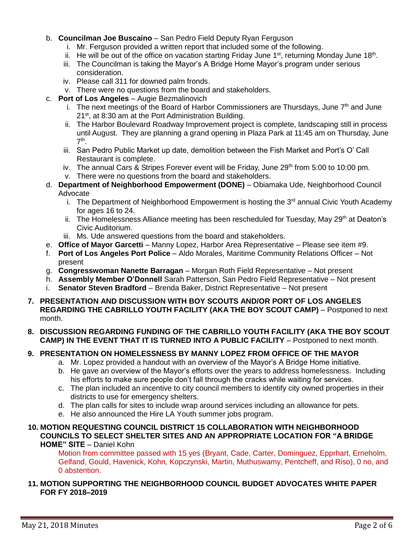### b. **Councilman Joe Buscaino** – San Pedro Field Deputy Ryan Ferguson

- i. Mr. Ferguson provided a written report that included some of the following.
- ii. He will be out of the office on vacation starting Friday June 1<sup>st</sup>, returning Monday June 18<sup>th</sup>.
- iii. The Councilman is taking the Mayor's A Bridge Home Mayor's program under serious consideration.
- iv. Please call 311 for downed palm fronds.
- v. There were no questions from the board and stakeholders.
- c. **Port of Los Angeles** Augie Bezmalinovich
	- i. The next meetings of the Board of Harbor Commissioners are Thursdays, June  $7<sup>th</sup>$  and June 21<sup>st</sup>, at 8:30 am at the Port Administration Building.
	- ii. The Harbor Boulevard Roadway Improvement project is complete, landscaping still in process until August. They are planning a grand opening in Plaza Park at 11:45 am on Thursday, June 7 th .
	- iii. San Pedro Public Market up date, demolition between the Fish Market and Port's O' Call Restaurant is complete.
	- iv. The annual Cars & Stripes Forever event will be Friday, June  $29<sup>th</sup>$  from 5:00 to 10:00 pm.
	- v. There were no questions from the board and stakeholders.
- d. **Department of Neighborhood Empowerment (DONE)** Obiamaka Ude, Neighborhood Council Advocate
	- i. The Department of Neighborhood Empowerment is hosting the 3<sup>rd</sup> annual Civic Youth Academy for ages 16 to 24.
	- ii. The Homelessness Alliance meeting has been rescheduled for Tuesday, May 29<sup>th</sup> at Deaton's Civic Auditorium.
	- iii. Ms. Ude answered questions from the board and stakeholders.
- e. **Office of Mayor Garcetti** Manny Lopez, Harbor Area Representative Please see item #9.
- f. **Port of Los Angeles Port Police** Aldo Morales, Maritime Community Relations Officer Not present
- g. **Congresswoman Nanette Barragan** Morgan Roth Field Representative Not present
- h. **Assembly Member O'Donnell** Sarah Patterson, San Pedro Field Representative Not present
- i. **Senator Steven Bradford** Brenda Baker, District Representative Not present
- **7. PRESENTATION AND DISCUSSION WITH BOY SCOUTS AND/OR PORT OF LOS ANGELES REGARDING THE CABRILLO YOUTH FACILITY (AKA THE BOY SCOUT CAMP)** – Postponed to next month.
- **8. DISCUSSION REGARDING FUNDING OF THE CABRILLO YOUTH FACILITY (AKA THE BOY SCOUT CAMP) IN THE EVENT THAT IT IS TURNED INTO A PUBLIC FACILITY** – Postponed to next month.

# **9. PRESENTATION ON HOMELESSNESS BY MANNY LOPEZ FROM OFFICE OF THE MAYOR**

- a. Mr. Lopez provided a handout with an overview of the Mayor's A Bridge Home initiative.
- b. He gave an overview of the Mayor's efforts over the years to address homelessness. Including his efforts to make sure people don't fall through the cracks while waiting for services.
- c. The plan included an incentive to city council members to identify city owned properties in their districts to use for emergency shelters.
- d. The plan calls for sites to include wrap around services including an allowance for pets.
- e. He also announced the Hire LA Youth summer jobs program.
- **10. MOTION REQUESTING COUNCIL DISTRICT 15 COLLABORATION WITH NEIGHBORHOOD COUNCILS TO SELECT SHELTER SITES AND AN APPROPRIATE LOCATION FOR "A BRIDGE HOME" SITE** – Daniel Kohn

Motion from committee passed with 15 yes (Bryant, Cade, Carter, Dominguez, Epprhart, Erneholm, Gelfand, Gould, Havenick, Kohn, Kopczynski, Martin, Muthuswamy, Pentcheff, and Riso), 0 no, and 0 abstention.

**11. MOTION SUPPORTING THE NEIGHBORHOOD COUNCIL BUDGET ADVOCATES WHITE PAPER FOR FY 2018–2019**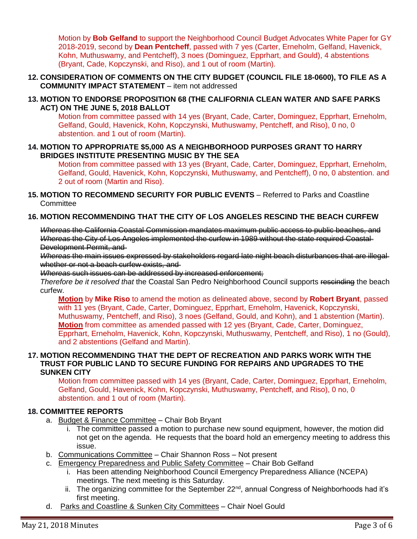Motion by **Bob Gelfand** to support the Neighborhood Council Budget Advocates White Paper for GY 2018-2019, second by **Dean Pentcheff**, passed with 7 yes (Carter, Erneholm, Gelfand, Havenick, Kohn, Muthuswamy, and Pentcheff), 3 noes (Dominguez, Epprhart, and Gould), 4 abstentions (Bryant, Cade, Kopczynski, and Riso), and 1 out of room (Martin).

- **12. CONSIDERATION OF COMMENTS ON THE CITY BUDGET (COUNCIL FILE 18-0600), TO FILE AS A COMMUNITY IMPACT STATEMENT** – item not addressed
- **13. MOTION TO ENDORSE PROPOSITION 68 (THE CALIFORNIA CLEAN WATER AND SAFE PARKS ACT) ON THE JUNE 5, 2018 BALLOT**

Motion from committee passed with 14 yes (Bryant, Cade, Carter, Dominguez, Epprhart, Erneholm, Gelfand, Gould, Havenick, Kohn, Kopczynski, Muthuswamy, Pentcheff, and Riso), 0 no, 0 abstention. and 1 out of room (Martin).

**14. MOTION TO APPROPRIATE \$5,000 AS A NEIGHBORHOOD PURPOSES GRANT TO HARRY BRIDGES INSTITUTE PRESENTING MUSIC BY THE SEA**

Motion from committee passed with 13 yes (Bryant, Cade, Carter, Dominguez, Epprhart, Erneholm, Gelfand, Gould, Havenick, Kohn, Kopczynski, Muthuswamy, and Pentcheff), 0 no, 0 abstention. and 2 out of room (Martin and Riso).

**15. MOTION TO RECOMMEND SECURITY FOR PUBLIC EVENTS** – Referred to Parks and Coastline **Committee** 

### **16. MOTION RECOMMENDING THAT THE CITY OF LOS ANGELES RESCIND THE BEACH CURFEW**

*Whereas* the California Coastal Commission mandates maximum public access to public beaches, and *Whereas* the City of Los Angeles implemented the curfew in 1989 without the state required Coastal Development Permit, and

*Whereas* the main issues expressed by stakeholders regard late night beach disturbances that are illegal whether or not a beach curfew exists, and

#### *Whereas* such issues can be addressed by increased enforcement;

*Therefore be it resolved that* the Coastal San Pedro Neighborhood Council supports rescinding the beach curfew.

**Motion** by **Mike Riso** to amend the motion as delineated above, second by **Robert Bryant**, passed with 11 yes (Bryant, Cade, Carter, Dominguez, Epprhart, Erneholm, Havenick, Kopczynski, Muthuswamy, Pentcheff, and Riso), 3 noes (Gelfand, Gould, and Kohn), and 1 abstention (Martin). **Motion** from committee as amended passed with 12 yes (Bryant, Cade, Carter, Dominguez, Epprhart, Erneholm, Havenick, Kohn, Kopczynski, Muthuswamy, Pentcheff, and Riso), 1 no (Gould), and 2 abstentions (Gelfand and Martin).

#### **17. MOTION RECOMMENDING THAT THE DEPT OF RECREATION AND PARKS WORK WITH THE TRUST FOR PUBLIC LAND TO SECURE FUNDING FOR REPAIRS AND UPGRADES TO THE SUNKEN CITY**

Motion from committee passed with 14 yes (Bryant, Cade, Carter, Dominguez, Epprhart, Erneholm, Gelfand, Gould, Havenick, Kohn, Kopczynski, Muthuswamy, Pentcheff, and Riso), 0 no, 0 abstention. and 1 out of room (Martin).

#### **18. COMMITTEE REPORTS**

- a. Budget & Finance Committee Chair Bob Bryant
	- i. The committee passed a motion to purchase new sound equipment, however, the motion did not get on the agenda. He requests that the board hold an emergency meeting to address this issue.
- b. Communications Committee Chair Shannon Ross Not present
- c. Emergency Preparedness and Public Safety Committee Chair Bob Gelfand
	- i. Has been attending Neighborhood Council Emergency Preparedness Alliance (NCEPA) meetings. The next meeting is this Saturday.
	- ii. The organizing committee for the September  $22<sup>nd</sup>$ , annual Congress of Neighborhoods had it's first meeting.
- d. Parks and Coastline & Sunken City Committees Chair Noel Gould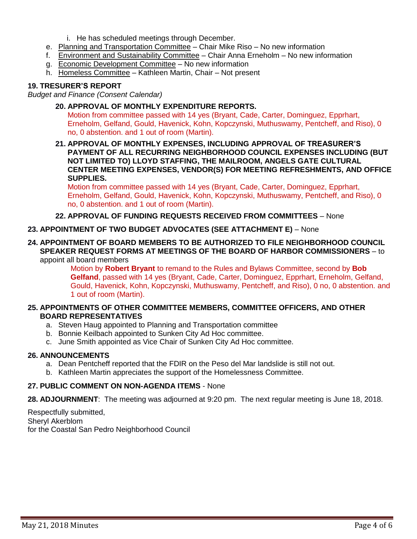- i. He has scheduled meetings through December.
- e. Planning and Transportation Committee Chair Mike Riso No new information
- f. Environment and Sustainability Committee Chair Anna Erneholm No new information
- g. Economic Development Committee No new information
- h. Homeless Committee Kathleen Martin, Chair Not present

# **19. TRESURER'S REPORT**

*Budget and Finance (Consent Calendar)*

- **20. APPROVAL OF MONTHLY EXPENDITURE REPORTS.** Motion from committee passed with 14 yes (Bryant, Cade, Carter, Dominguez, Epprhart, Erneholm, Gelfand, Gould, Havenick, Kohn, Kopczynski, Muthuswamy, Pentcheff, and Riso), 0 no, 0 abstention. and 1 out of room (Martin).
- **21. APPROVAL OF MONTHLY EXPENSES, INCLUDING APPROVAL OF TREASURER'S PAYMENT OF ALL RECURRING NEIGHBORHOOD COUNCIL EXPENSES INCLUDING (BUT NOT LIMITED TO) LLOYD STAFFING, THE MAILROOM, ANGELS GATE CULTURAL CENTER MEETING EXPENSES, VENDOR(S) FOR MEETING REFRESHMENTS, AND OFFICE SUPPLIES.**

Motion from committee passed with 14 yes (Bryant, Cade, Carter, Dominguez, Epprhart, Erneholm, Gelfand, Gould, Havenick, Kohn, Kopczynski, Muthuswamy, Pentcheff, and Riso), 0 no, 0 abstention. and 1 out of room (Martin).

### **22. APPROVAL OF FUNDING REQUESTS RECEIVED FROM COMMITTEES** – None

### **23. APPOINTMENT OF TWO BUDGET ADVOCATES (SEE ATTACHMENT E)** – None

**24. APPOINTMENT OF BOARD MEMBERS TO BE AUTHORIZED TO FILE NEIGHBORHOOD COUNCIL SPEAKER REQUEST FORMS AT MEETINGS OF THE BOARD OF HARBOR COMMISSIONERS** – to appoint all board members

> Motion by **Robert Bryant** to remand to the Rules and Bylaws Committee, second by **Bob Gelfand**, passed with 14 yes (Bryant, Cade, Carter, Dominguez, Epprhart, Erneholm, Gelfand, Gould, Havenick, Kohn, Kopczynski, Muthuswamy, Pentcheff, and Riso), 0 no, 0 abstention. and 1 out of room (Martin).

### **25. APPOINTMENTS OF OTHER COMMITTEE MEMBERS, COMMITTEE OFFICERS, AND OTHER BOARD REPRESENTATIVES**

- a. Steven Haug appointed to Planning and Transportation committee
- b. Bonnie Keilbach appointed to Sunken City Ad Hoc committee.
- c. June Smith appointed as Vice Chair of Sunken City Ad Hoc committee.

### **26. ANNOUNCEMENTS**

- a. Dean Pentcheff reported that the FDIR on the Peso del Mar landslide is still not out.
- b. Kathleen Martin appreciates the support of the Homelessness Committee.

### **27. PUBLIC COMMENT ON NON-AGENDA ITEMS** - None

**28. ADJOURNMENT**:The meeting was adjourned at 9:20 pm. The next regular meeting is June 18, 2018.

Respectfully submitted, Sheryl Akerblom for the Coastal San Pedro Neighborhood Council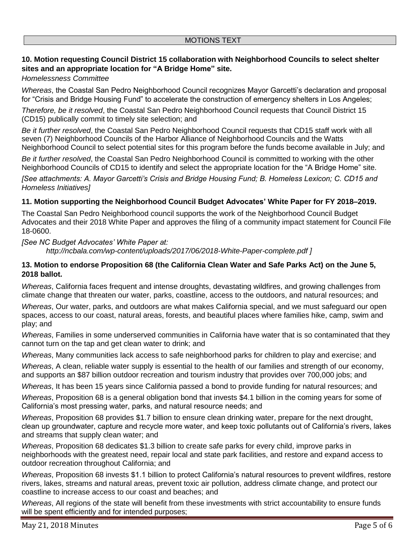# **10. Motion requesting Council District 15 collaboration with Neighborhood Councils to select shelter sites and an appropriate location for "A Bridge Home" site.**

### *Homelessness Committee*

*Whereas*, the Coastal San Pedro Neighborhood Council recognizes Mayor Garcetti's declaration and proposal for "Crisis and Bridge Housing Fund" to accelerate the construction of emergency shelters in Los Angeles;

*Therefore, be it resolved*, the Coastal San Pedro Neighborhood Council requests that Council District 15 (CD15) publically commit to timely site selection; and

*Be it further resolved*, the Coastal San Pedro Neighborhood Council requests that CD15 staff work with all seven (7) Neighborhood Councils of the Harbor Alliance of Neighborhood Councils and the Watts Neighborhood Council to select potential sites for this program before the funds become available in July; and

*Be it further resolved*, the Coastal San Pedro Neighborhood Council is committed to working with the other Neighborhood Councils of CD15 to identify and select the appropriate location for the "A Bridge Home" site.

*[See attachments: A. Mayor Garcetti's Crisis and Bridge Housing Fund; B. Homeless Lexicon; C. CD15 and Homeless Initiatives]*

### **11. Motion supporting the Neighborhood Council Budget Advocates' White Paper for FY 2018–2019.**

The Coastal San Pedro Neighborhood council supports the work of the Neighborhood Council Budget Advocates and their 2018 White Paper and approves the filing of a community impact statement for Council File 18-0600.

#### *[See NC Budget Advocates' White Paper at:*

*<http://ncbala.com/wp-content/uploads/2017/06/2018-White-Paper-complete.pdf> ]*

### 13. Motion to endorse Proposition 68 (the California Clean Water and Safe Parks Act) on the June 5, **2018 ballot.**

*Whereas*, California faces frequent and intense droughts, devastating wildfires, and growing challenges from climate change that threaten our water, parks, coastline, access to the outdoors, and natural resources; and

*Whereas*, Our water, parks, and outdoors are what makes California special, and we must safeguard our open spaces, access to our coast, natural areas, forests, and beautiful places where families hike, camp, swim and play; and

*Whereas*, Families in some underserved communities in California have water that is so contaminated that they cannot turn on the tap and get clean water to drink; and

*Whereas*, Many communities lack access to safe neighborhood parks for children to play and exercise; and

*Whereas*, A clean, reliable water supply is essential to the health of our families and strength of our economy, and supports an \$87 billion outdoor recreation and tourism industry that provides over 700,000 jobs; and

*Whereas*, It has been 15 years since California passed a bond to provide funding for natural resources; and

*Whereas*, Proposition 68 is a general obligation bond that invests \$4.1 billion in the coming years for some of California's most pressing water, parks, and natural resource needs; and

*Whereas*, Proposition 68 provides \$1.7 billion to ensure clean drinking water, prepare for the next drought, clean up groundwater, capture and recycle more water, and keep toxic pollutants out of California's rivers, lakes and streams that supply clean water; and

*Whereas*, Proposition 68 dedicates \$1.3 billion to create safe parks for every child, improve parks in neighborhoods with the greatest need, repair local and state park facilities, and restore and expand access to outdoor recreation throughout California; and

*Whereas*, Proposition 68 invests \$1.1 billion to protect California's natural resources to prevent wildfires, restore rivers, lakes, streams and natural areas, prevent toxic air pollution, address climate change, and protect our coastline to increase access to our coast and beaches; and

*Whereas*, All regions of the state will benefit from these investments with strict accountability to ensure funds will be spent efficiently and for intended purposes;